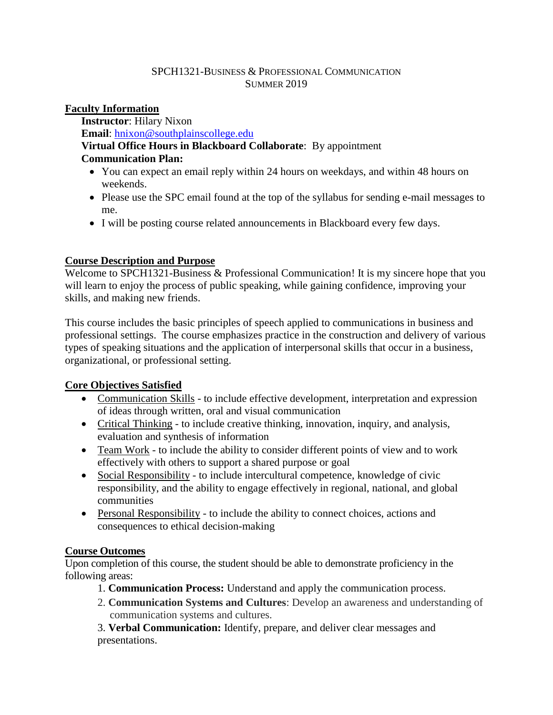#### SPCH1321-BUSINESS & PROFESSIONAL COMMUNICATION SUMMER 2019

### **Faculty Information**

**Instructor**: Hilary Nixon **Email**: [hnixon@southplainscollege.edu](mailto:hnixon@southplainscollege.edu) **Virtual Office Hours in Blackboard Collaborate**: By appointment **Communication Plan:** 

- You can expect an email reply within 24 hours on weekdays, and within 48 hours on weekends.
- Please use the SPC email found at the top of the syllabus for sending e-mail messages to me.
- I will be posting course related announcements in Blackboard every few days.

## **Course Description and Purpose**

Welcome to SPCH1321-Business & Professional Communication! It is my sincere hope that you will learn to enjoy the process of public speaking, while gaining confidence, improving your skills, and making new friends.

This course includes the basic principles of speech applied to communications in business and professional settings. The course emphasizes practice in the construction and delivery of various types of speaking situations and the application of interpersonal skills that occur in a business, organizational, or professional setting.

# **Core Objectives Satisfied**

- Communication Skills to include effective development, interpretation and expression of ideas through written, oral and visual communication
- Critical Thinking to include creative thinking, innovation, inquiry, and analysis, evaluation and synthesis of information
- Team Work to include the ability to consider different points of view and to work effectively with others to support a shared purpose or goal
- Social Responsibility to include intercultural competence, knowledge of civic responsibility, and the ability to engage effectively in regional, national, and global communities
- Personal Responsibility to include the ability to connect choices, actions and consequences to ethical decision-making

# **Course Outcomes**

Upon completion of this course, the student should be able to demonstrate proficiency in the following areas:

- 1. **Communication Process:** Understand and apply the communication process.
- 2. **Communication Systems and Cultures**: Develop an awareness and understanding of communication systems and cultures.

3. **Verbal Communication:** Identify, prepare, and deliver clear messages and presentations.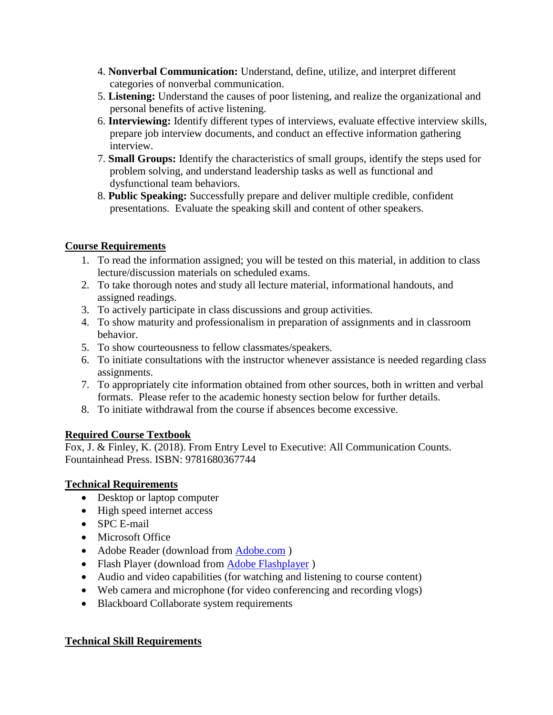- 4. **Nonverbal Communication:** Understand, define, utilize, and interpret different categories of nonverbal communication.
- 5. **Listening:** Understand the causes of poor listening, and realize the organizational and personal benefits of active listening.
- 6. **Interviewing:** Identify different types of interviews, evaluate effective interview skills, prepare job interview documents, and conduct an effective information gathering interview.
- 7. **Small Groups:** Identify the characteristics of small groups, identify the steps used for problem solving, and understand leadership tasks as well as functional and dysfunctional team behaviors.
- 8. **Public Speaking:** Successfully prepare and deliver multiple credible, confident presentations. Evaluate the speaking skill and content of other speakers.

### **Course Requirements**

- 1. To read the information assigned; you will be tested on this material, in addition to class lecture/discussion materials on scheduled exams.
- 2. To take thorough notes and study all lecture material, informational handouts, and assigned readings.
- 3. To actively participate in class discussions and group activities.
- 4. To show maturity and professionalism in preparation of assignments and in classroom behavior.
- 5. To show courteousness to fellow classmates/speakers.
- 6. To initiate consultations with the instructor whenever assistance is needed regarding class assignments.
- 7. To appropriately cite information obtained from other sources, both in written and verbal formats. Please refer to the academic honesty section below for further details.
- 8. To initiate withdrawal from the course if absences become excessive.

# **Required Course Textbook**

Fox, J. & Finley, K. (2018). From Entry Level to Executive: All Communication Counts. Fountainhead Press. ISBN: 9781680367744

### **Technical Requirements**

- Desktop or laptop computer
- High speed internet access
- SPC E-mail
- Microsoft Office
- Adobe Reader (download from [Adobe.com](http://get.adobe.com/reader) )
- Flash Player (download from [Adobe Flashplayer](http://get.adobe.com/flashplayer/))
- Audio and video capabilities (for watching and listening to course content)
- Web camera and microphone (for video conferencing and recording vlogs)
- Blackboard Collaborate system requirements

### **Technical Skill Requirements**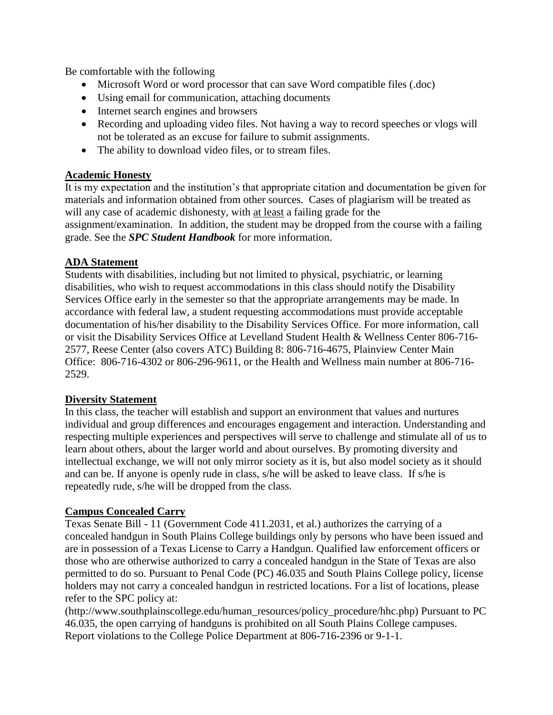Be comfortable with the following

- Microsoft Word or word processor that can save Word compatible files (.doc)
- Using email for communication, attaching documents
- Internet search engines and browsers
- Recording and uploading video files. Not having a way to record speeches or vlogs will not be tolerated as an excuse for failure to submit assignments.
- The ability to download video files, or to stream files.

### **Academic Honesty**

It is my expectation and the institution's that appropriate citation and documentation be given for materials and information obtained from other sources. Cases of plagiarism will be treated as will any case of academic dishonesty, with at least a failing grade for the assignment/examination. In addition, the student may be dropped from the course with a failing grade. See the *SPC Student Handbook* for more information.

#### **ADA Statement**

Students with disabilities, including but not limited to physical, psychiatric, or learning disabilities, who wish to request accommodations in this class should notify the Disability Services Office early in the semester so that the appropriate arrangements may be made. In accordance with federal law, a student requesting accommodations must provide acceptable documentation of his/her disability to the Disability Services Office. For more information, call or visit the Disability Services Office at Levelland Student Health & Wellness Center 806-716- 2577, Reese Center (also covers ATC) Building 8: 806-716-4675, Plainview Center Main Office: 806-716-4302 or 806-296-9611, or the Health and Wellness main number at 806-716- 2529.

#### **Diversity Statement**

In this class, the teacher will establish and support an environment that values and nurtures individual and group differences and encourages engagement and interaction. Understanding and respecting multiple experiences and perspectives will serve to challenge and stimulate all of us to learn about others, about the larger world and about ourselves. By promoting diversity and intellectual exchange, we will not only mirror society as it is, but also model society as it should and can be. If anyone is openly rude in class, s/he will be asked to leave class. If s/he is repeatedly rude, s/he will be dropped from the class.

### **Campus Concealed Carry**

Texas Senate Bill - 11 (Government Code 411.2031, et al.) authorizes the carrying of a concealed handgun in South Plains College buildings only by persons who have been issued and are in possession of a Texas License to Carry a Handgun. Qualified law enforcement officers or those who are otherwise authorized to carry a concealed handgun in the State of Texas are also permitted to do so. Pursuant to Penal Code (PC) 46.035 and South Plains College policy, license holders may not carry a concealed handgun in restricted locations. For a list of locations, please refer to the SPC policy at:

(http://www.southplainscollege.edu/human\_resources/policy\_procedure/hhc.php) Pursuant to PC 46.035, the open carrying of handguns is prohibited on all South Plains College campuses. Report violations to the College Police Department at 806-716-2396 or 9-1-1.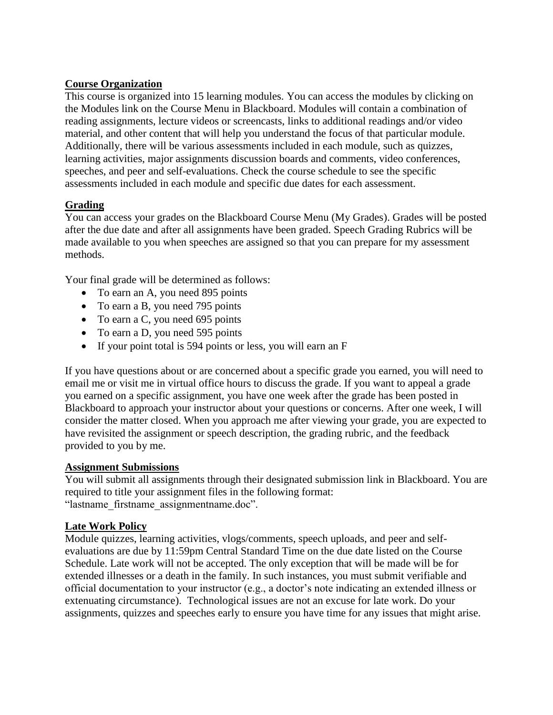### **Course Organization**

This course is organized into 15 learning modules. You can access the modules by clicking on the Modules link on the Course Menu in Blackboard. Modules will contain a combination of reading assignments, lecture videos or screencasts, links to additional readings and/or video material, and other content that will help you understand the focus of that particular module. Additionally, there will be various assessments included in each module, such as quizzes, learning activities, major assignments discussion boards and comments, video conferences, speeches, and peer and self-evaluations. Check the course schedule to see the specific assessments included in each module and specific due dates for each assessment.

## **Grading**

You can access your grades on the Blackboard Course Menu (My Grades). Grades will be posted after the due date and after all assignments have been graded. Speech Grading Rubrics will be made available to you when speeches are assigned so that you can prepare for my assessment methods.

Your final grade will be determined as follows:

- To earn an A, you need 895 points
- To earn a B, you need 795 points
- To earn a C, you need 695 points
- To earn a D, you need 595 points
- If your point total is 594 points or less, you will earn an F

If you have questions about or are concerned about a specific grade you earned, you will need to email me or visit me in virtual office hours to discuss the grade. If you want to appeal a grade you earned on a specific assignment, you have one week after the grade has been posted in Blackboard to approach your instructor about your questions or concerns. After one week, I will consider the matter closed. When you approach me after viewing your grade, you are expected to have revisited the assignment or speech description, the grading rubric, and the feedback provided to you by me.

### **Assignment Submissions**

You will submit all assignments through their designated submission link in Blackboard. You are required to title your assignment files in the following format: "lastname\_firstname\_assignmentname.doc".

### **Late Work Policy**

Module quizzes, learning activities, vlogs/comments, speech uploads, and peer and selfevaluations are due by 11:59pm Central Standard Time on the due date listed on the Course Schedule. Late work will not be accepted. The only exception that will be made will be for extended illnesses or a death in the family. In such instances, you must submit verifiable and official documentation to your instructor (e.g., a doctor's note indicating an extended illness or extenuating circumstance). Technological issues are not an excuse for late work. Do your assignments, quizzes and speeches early to ensure you have time for any issues that might arise.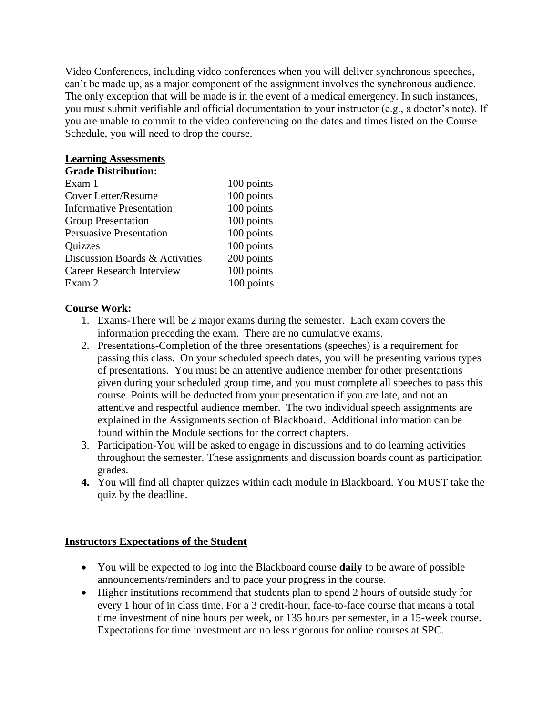Video Conferences, including video conferences when you will deliver synchronous speeches, can't be made up, as a major component of the assignment involves the synchronous audience. The only exception that will be made is in the event of a medical emergency. In such instances, you must submit verifiable and official documentation to your instructor (e.g., a doctor's note). If you are unable to commit to the video conferencing on the dates and times listed on the Course Schedule, you will need to drop the course.

# **Learning Assessments**

| <b>Grade Distribution:</b> |
|----------------------------|
|                            |

| Exam 1                           | 100 points |
|----------------------------------|------------|
| Cover Letter/Resume              | 100 points |
| <b>Informative Presentation</b>  | 100 points |
| <b>Group Presentation</b>        | 100 points |
| <b>Persuasive Presentation</b>   | 100 points |
| <b>Quizzes</b>                   | 100 points |
| Discussion Boards & Activities   | 200 points |
| <b>Career Research Interview</b> | 100 points |
| Exam 2                           | 100 points |

## **Course Work:**

- 1. Exams-There will be 2 major exams during the semester. Each exam covers the information preceding the exam. There are no cumulative exams.
- 2. Presentations-Completion of the three presentations (speeches) is a requirement for passing this class. On your scheduled speech dates, you will be presenting various types of presentations. You must be an attentive audience member for other presentations given during your scheduled group time, and you must complete all speeches to pass this course. Points will be deducted from your presentation if you are late, and not an attentive and respectful audience member. The two individual speech assignments are explained in the Assignments section of Blackboard. Additional information can be found within the Module sections for the correct chapters.
- 3. Participation-You will be asked to engage in discussions and to do learning activities throughout the semester. These assignments and discussion boards count as participation grades.
- **4.** You will find all chapter quizzes within each module in Blackboard. You MUST take the quiz by the deadline.

# **Instructors Expectations of the Student**

- You will be expected to log into the Blackboard course **daily** to be aware of possible announcements/reminders and to pace your progress in the course.
- Higher institutions recommend that students plan to spend 2 hours of outside study for every 1 hour of in class time. For a 3 credit-hour, face-to-face course that means a total time investment of nine hours per week, or 135 hours per semester, in a 15-week course. Expectations for time investment are no less rigorous for online courses at SPC.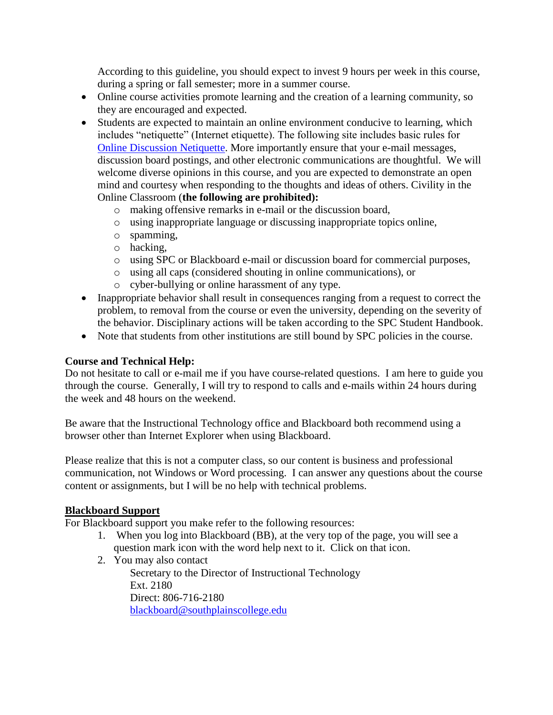According to this guideline, you should expect to invest 9 hours per week in this course, during a spring or fall semester; more in a summer course.

- Online course activities promote learning and the creation of a learning community, so they are encouraged and expected.
- Students are expected to maintain an online environment conducive to learning, which includes "netiquette" (Internet etiquette). The following site includes basic rules for [Online Discussion Netiquette.](https://www.depts.ttu.edu/elearning/blackboard/student/netiquette.php) More importantly ensure that your e-mail messages, discussion board postings, and other electronic communications are thoughtful. We will welcome diverse opinions in this course, and you are expected to demonstrate an open mind and courtesy when responding to the thoughts and ideas of others. Civility in the Online Classroom (**the following are prohibited):** 
	- o making offensive remarks in e-mail or the discussion board,
	- o using inappropriate language or discussing inappropriate topics online,
	- o spamming,
	- o hacking,
	- o using SPC or Blackboard e-mail or discussion board for commercial purposes,
	- o using all caps (considered shouting in online communications), or
	- o cyber-bullying or online harassment of any type.
- Inappropriate behavior shall result in consequences ranging from a request to correct the problem, to removal from the course or even the university, depending on the severity of the behavior. Disciplinary actions will be taken according to the SPC Student Handbook.
- Note that students from other institutions are still bound by SPC policies in the course.

#### **Course and Technical Help:**

Do not hesitate to call or e-mail me if you have course-related questions. I am here to guide you through the course. Generally, I will try to respond to calls and e-mails within 24 hours during the week and 48 hours on the weekend.

Be aware that the Instructional Technology office and Blackboard both recommend using a browser other than Internet Explorer when using Blackboard.

Please realize that this is not a computer class, so our content is business and professional communication, not Windows or Word processing. I can answer any questions about the course content or assignments, but I will be no help with technical problems.

#### **Blackboard Support**

For Blackboard support you make refer to the following resources:

- 1. When you log into Blackboard (BB), at the very top of the page, you will see a question mark icon with the word help next to it. Click on that icon.
- 2. You may also contact Secretary to the Director of Instructional Technology Ext. 2180 Direct: 806-716-2180 [blackboard@southplainscollege.edu](mailto:jetucker@southplainscollege.edu)